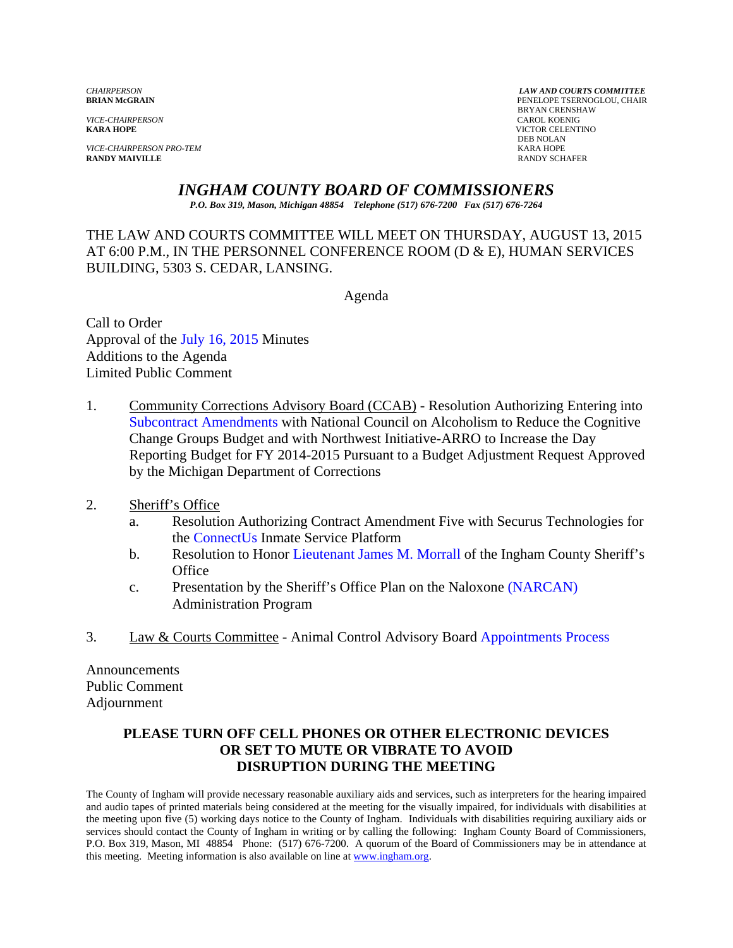*VICE-CHAIRPERSON*<br>**KARA HOPE** 

*VICE-CHAIRPERSON PRO-TEM* KARA HOPE **RANDY MAIVILLE** 

*CHAIRPERSON LAW AND COURTS COMMITTEE* PENELOPE TSERNOGLOU, CHAIR **BRYAN CRENSHAW**<br>CAROL KOENIG **KICTOR CELENTINO**<br>DEB NOLAN DEB NOLAN

*INGHAM COUNTY BOARD OF COMMISSIONERS*

*P.O. Box 319, Mason, Michigan 48854 Telephone (517) 676-7200 Fax (517) 676-7264*

THE LAW AND COURTS COMMITTEE WILL MEET ON THURSDAY, AUGUST 13, 2015 AT 6:00 P.M., IN THE PERSONNEL CONFERENCE ROOM (D & E), HUMAN SERVICES BUILDING, 5303 S. CEDAR, LANSING.

Agenda

Call to Order Approval of the [July 16, 2015 Minutes](#page-1-0) Additions to the Agenda Limited Public Comment

- 1. Community Corrections Advisory Board (CCAB) Resolution Authorizing Entering into Subcontract Amendments with National Council on Alcoholism to Reduce the Cognitive [Change Groups Budget and with North](#page-8-0)west Initiative-ARRO to Increase the Day Reporting Budget for FY 2014-2015 Pursuant to a Budget Adjustment Request Approved by the Michigan Department of Corrections
- 2. Sheriff's Office
	- a. [Resolution Authorizi](#page-10-0)ng Contract Amendment Five with Securus Technologies for the ConnectUs Inmate Service Platform
	- b. Resolution to Honor L[ieutenant James M. Morrall of the In](#page-12-0)gham County Sheriff's **Office**
	- c. Presentation by the Sheriff's Office Plan on the Naloxo[ne \(NARCAN\)](#page-14-0)  Administration Program
- 3. Law & Courts Committee Animal Control Advisory Bo[ard Appointments Process](#page-17-0)

Announcements Public Comment Adjournment

## **PLEASE TURN OFF CELL PHONES OR OTHER ELECTRONIC DEVICES OR SET TO MUTE OR VIBRATE TO AVOID DISRUPTION DURING THE MEETING**

The County of Ingham will provide necessary reasonable auxiliary aids and services, such as interpreters for the hearing impaired and audio tapes of printed materials being considered at the meeting for the visually impaired, for individuals with disabilities at the meeting upon five (5) working days notice to the County of Ingham. Individuals with disabilities requiring auxiliary aids or services should contact the County of Ingham in writing or by calling the following: Ingham County Board of Commissioners, P.O. Box 319, Mason, MI 48854 Phone: (517) 676-7200. A quorum of the Board of Commissioners may be in attendance at this meeting. Meeting information is also available on line a[t www.ingham.org.](http://www.ingham.org/)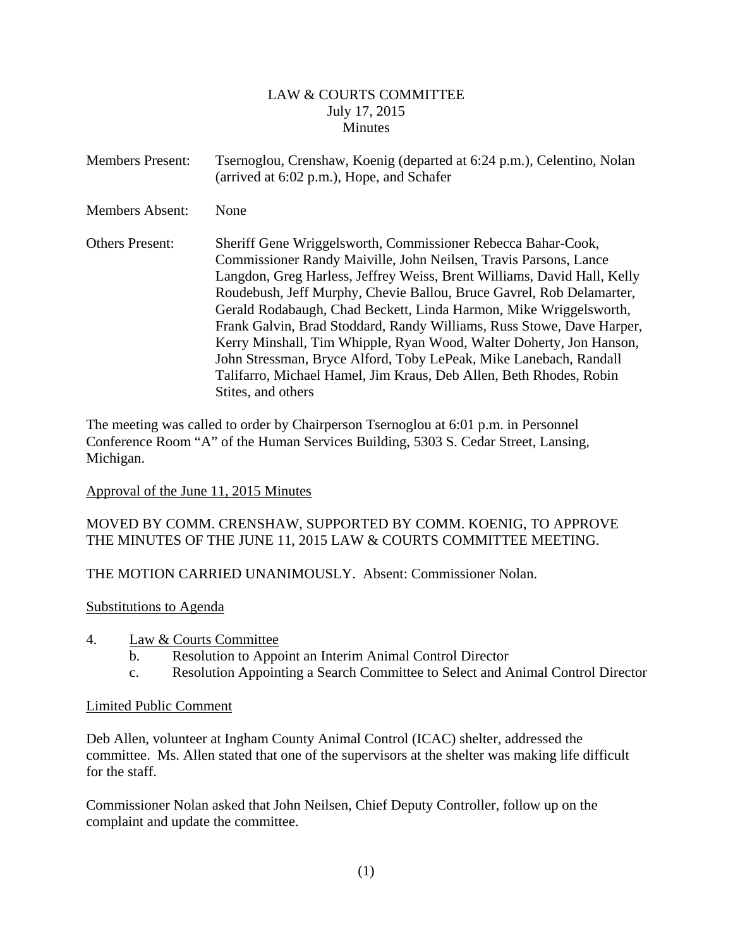## LAW & COURTS COMMITTEE July 17, 2015 Minutes

<span id="page-1-0"></span>

| <b>Members Present:</b> | Tsernoglou, Crenshaw, Koenig (departed at 6:24 p.m.), Celentino, Nolan<br>(arrived at 6:02 p.m.), Hope, and Schafer                                                                                                                                                                                                                                                                                                                                                                                                                                                                                                                                                       |
|-------------------------|---------------------------------------------------------------------------------------------------------------------------------------------------------------------------------------------------------------------------------------------------------------------------------------------------------------------------------------------------------------------------------------------------------------------------------------------------------------------------------------------------------------------------------------------------------------------------------------------------------------------------------------------------------------------------|
| <b>Members Absent:</b>  | None                                                                                                                                                                                                                                                                                                                                                                                                                                                                                                                                                                                                                                                                      |
| <b>Others Present:</b>  | Sheriff Gene Wriggelsworth, Commissioner Rebecca Bahar-Cook,<br>Commissioner Randy Maiville, John Neilsen, Travis Parsons, Lance<br>Langdon, Greg Harless, Jeffrey Weiss, Brent Williams, David Hall, Kelly<br>Roudebush, Jeff Murphy, Chevie Ballou, Bruce Gavrel, Rob Delamarter,<br>Gerald Rodabaugh, Chad Beckett, Linda Harmon, Mike Wriggelsworth,<br>Frank Galvin, Brad Stoddard, Randy Williams, Russ Stowe, Dave Harper,<br>Kerry Minshall, Tim Whipple, Ryan Wood, Walter Doherty, Jon Hanson,<br>John Stressman, Bryce Alford, Toby LePeak, Mike Lanebach, Randall<br>Talifarro, Michael Hamel, Jim Kraus, Deb Allen, Beth Rhodes, Robin<br>Stites, and others |

The meeting was called to order by Chairperson Tsernoglou at 6:01 p.m. in Personnel Conference Room "A" of the Human Services Building, 5303 S. Cedar Street, Lansing, Michigan.

# Approval of the June 11, 2015 Minutes

# MOVED BY COMM. CRENSHAW, SUPPORTED BY COMM. KOENIG, TO APPROVE THE MINUTES OF THE JUNE 11, 2015 LAW & COURTS COMMITTEE MEETING.

# THE MOTION CARRIED UNANIMOUSLY. Absent: Commissioner Nolan.

#### Substitutions to Agenda

- 4. Law & Courts Committee
	- b. Resolution to Appoint an Interim Animal Control Director
	- c. Resolution Appointing a Search Committee to Select and Animal Control Director

#### Limited Public Comment

Deb Allen, volunteer at Ingham County Animal Control (ICAC) shelter, addressed the committee. Ms. Allen stated that one of the supervisors at the shelter was making life difficult for the staff.

Commissioner Nolan asked that John Neilsen, Chief Deputy Controller, follow up on the complaint and update the committee.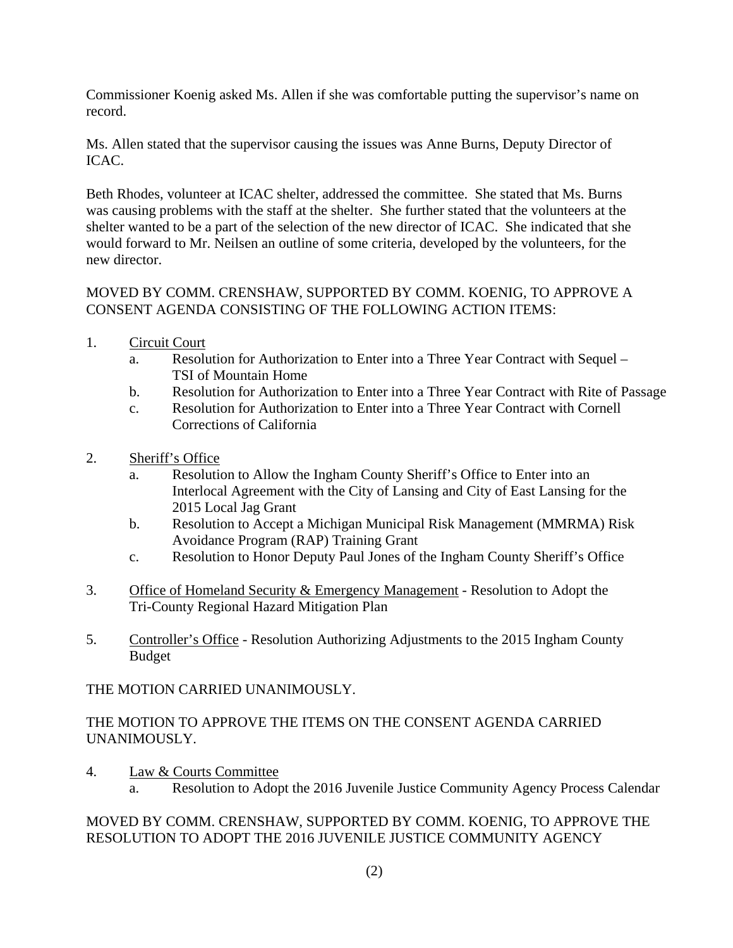Commissioner Koenig asked Ms. Allen if she was comfortable putting the supervisor's name on record.

Ms. Allen stated that the supervisor causing the issues was Anne Burns, Deputy Director of ICAC.

Beth Rhodes, volunteer at ICAC shelter, addressed the committee. She stated that Ms. Burns was causing problems with the staff at the shelter. She further stated that the volunteers at the shelter wanted to be a part of the selection of the new director of ICAC. She indicated that she would forward to Mr. Neilsen an outline of some criteria, developed by the volunteers, for the new director.

# MOVED BY COMM. CRENSHAW, SUPPORTED BY COMM. KOENIG, TO APPROVE A CONSENT AGENDA CONSISTING OF THE FOLLOWING ACTION ITEMS:

- 1. Circuit Court
	- a. Resolution for Authorization to Enter into a Three Year Contract with Sequel TSI of Mountain Home
	- b. Resolution for Authorization to Enter into a Three Year Contract with Rite of Passage
	- c. Resolution for Authorization to Enter into a Three Year Contract with Cornell Corrections of California
- 2. Sheriff's Office
	- a. Resolution to Allow the Ingham County Sheriff's Office to Enter into an Interlocal Agreement with the City of Lansing and City of East Lansing for the 2015 Local Jag Grant
	- b. Resolution to Accept a Michigan Municipal Risk Management (MMRMA) Risk Avoidance Program (RAP) Training Grant
	- c. Resolution to Honor Deputy Paul Jones of the Ingham County Sheriff's Office
- 3. Office of Homeland Security & Emergency Management Resolution to Adopt the Tri-County Regional Hazard Mitigation Plan
- 5. Controller's Office Resolution Authorizing Adjustments to the 2015 Ingham County Budget

THE MOTION CARRIED UNANIMOUSLY.

# THE MOTION TO APPROVE THE ITEMS ON THE CONSENT AGENDA CARRIED UNANIMOUSLY.

- 4. Law & Courts Committee
	- a. Resolution to Adopt the 2016 Juvenile Justice Community Agency Process Calendar

# MOVED BY COMM. CRENSHAW, SUPPORTED BY COMM. KOENIG, TO APPROVE THE RESOLUTION TO ADOPT THE 2016 JUVENILE JUSTICE COMMUNITY AGENCY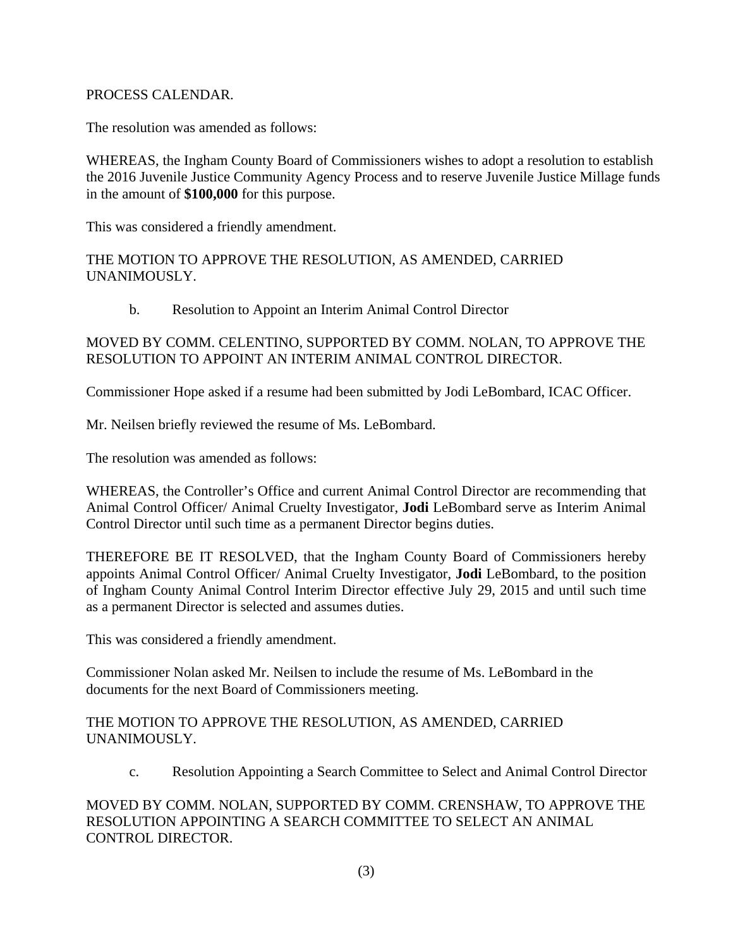## PROCESS CALENDAR.

The resolution was amended as follows:

WHEREAS, the Ingham County Board of Commissioners wishes to adopt a resolution to establish the 2016 Juvenile Justice Community Agency Process and to reserve Juvenile Justice Millage funds in the amount of **\$100,000** for this purpose.

This was considered a friendly amendment.

THE MOTION TO APPROVE THE RESOLUTION, AS AMENDED, CARRIED UNANIMOUSLY.

b. Resolution to Appoint an Interim Animal Control Director

# MOVED BY COMM. CELENTINO, SUPPORTED BY COMM. NOLAN, TO APPROVE THE RESOLUTION TO APPOINT AN INTERIM ANIMAL CONTROL DIRECTOR.

Commissioner Hope asked if a resume had been submitted by Jodi LeBombard, ICAC Officer.

Mr. Neilsen briefly reviewed the resume of Ms. LeBombard.

The resolution was amended as follows:

WHEREAS, the Controller's Office and current Animal Control Director are recommending that Animal Control Officer/ Animal Cruelty Investigator, **Jodi** LeBombard serve as Interim Animal Control Director until such time as a permanent Director begins duties.

THEREFORE BE IT RESOLVED, that the Ingham County Board of Commissioners hereby appoints Animal Control Officer/ Animal Cruelty Investigator, **Jodi** LeBombard, to the position of Ingham County Animal Control Interim Director effective July 29, 2015 and until such time as a permanent Director is selected and assumes duties.

This was considered a friendly amendment.

Commissioner Nolan asked Mr. Neilsen to include the resume of Ms. LeBombard in the documents for the next Board of Commissioners meeting.

## THE MOTION TO APPROVE THE RESOLUTION, AS AMENDED, CARRIED UNANIMOUSLY.

c. Resolution Appointing a Search Committee to Select and Animal Control Director

MOVED BY COMM. NOLAN, SUPPORTED BY COMM. CRENSHAW, TO APPROVE THE RESOLUTION APPOINTING A SEARCH COMMITTEE TO SELECT AN ANIMAL CONTROL DIRECTOR.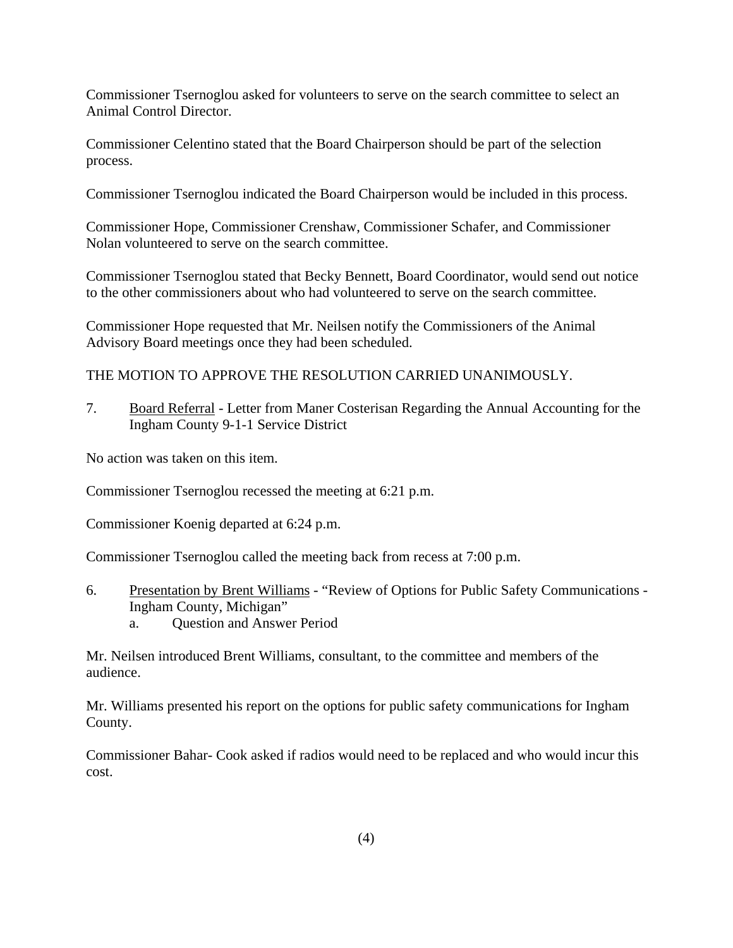Commissioner Tsernoglou asked for volunteers to serve on the search committee to select an Animal Control Director.

Commissioner Celentino stated that the Board Chairperson should be part of the selection process.

Commissioner Tsernoglou indicated the Board Chairperson would be included in this process.

Commissioner Hope, Commissioner Crenshaw, Commissioner Schafer, and Commissioner Nolan volunteered to serve on the search committee.

Commissioner Tsernoglou stated that Becky Bennett, Board Coordinator, would send out notice to the other commissioners about who had volunteered to serve on the search committee.

Commissioner Hope requested that Mr. Neilsen notify the Commissioners of the Animal Advisory Board meetings once they had been scheduled.

THE MOTION TO APPROVE THE RESOLUTION CARRIED UNANIMOUSLY.

7. Board Referral - Letter from Maner Costerisan Regarding the Annual Accounting for the Ingham County 9-1-1 Service District

No action was taken on this item.

Commissioner Tsernoglou recessed the meeting at 6:21 p.m.

Commissioner Koenig departed at 6:24 p.m.

Commissioner Tsernoglou called the meeting back from recess at 7:00 p.m.

6. Presentation by Brent Williams - "Review of Options for Public Safety Communications - Ingham County, Michigan" a. Question and Answer Period

Mr. Neilsen introduced Brent Williams, consultant, to the committee and members of the audience.

Mr. Williams presented his report on the options for public safety communications for Ingham County.

Commissioner Bahar- Cook asked if radios would need to be replaced and who would incur this cost.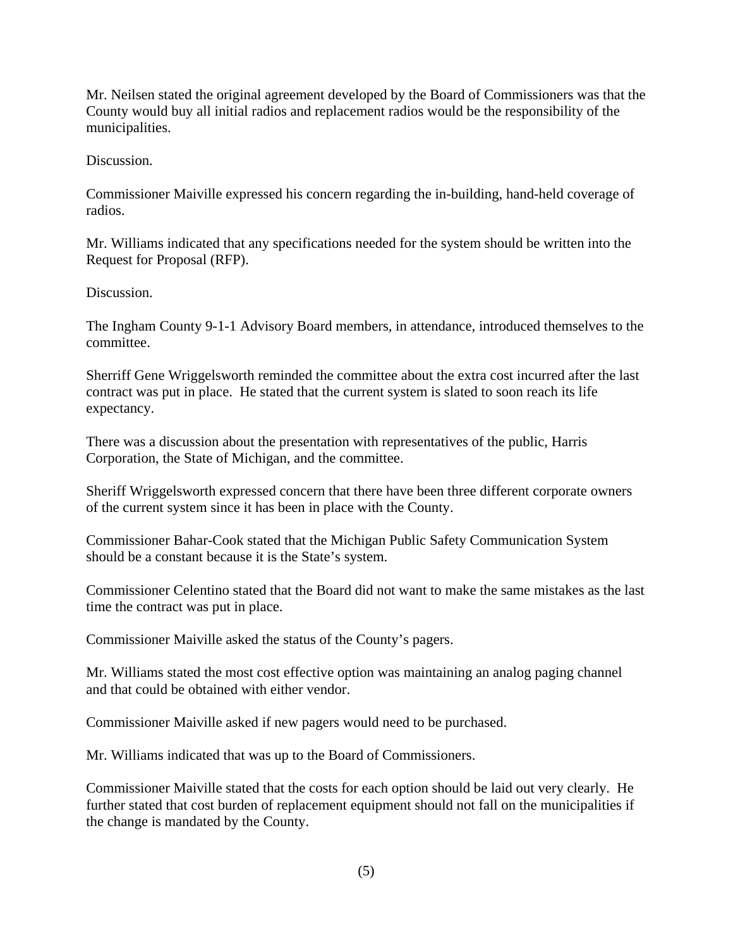Mr. Neilsen stated the original agreement developed by the Board of Commissioners was that the County would buy all initial radios and replacement radios would be the responsibility of the municipalities.

Discussion.

Commissioner Maiville expressed his concern regarding the in-building, hand-held coverage of radios.

Mr. Williams indicated that any specifications needed for the system should be written into the Request for Proposal (RFP).

Discussion.

The Ingham County 9-1-1 Advisory Board members, in attendance, introduced themselves to the committee.

Sherriff Gene Wriggelsworth reminded the committee about the extra cost incurred after the last contract was put in place. He stated that the current system is slated to soon reach its life expectancy.

There was a discussion about the presentation with representatives of the public, Harris Corporation, the State of Michigan, and the committee.

Sheriff Wriggelsworth expressed concern that there have been three different corporate owners of the current system since it has been in place with the County.

Commissioner Bahar-Cook stated that the Michigan Public Safety Communication System should be a constant because it is the State's system.

Commissioner Celentino stated that the Board did not want to make the same mistakes as the last time the contract was put in place.

Commissioner Maiville asked the status of the County's pagers.

Mr. Williams stated the most cost effective option was maintaining an analog paging channel and that could be obtained with either vendor.

Commissioner Maiville asked if new pagers would need to be purchased.

Mr. Williams indicated that was up to the Board of Commissioners.

Commissioner Maiville stated that the costs for each option should be laid out very clearly. He further stated that cost burden of replacement equipment should not fall on the municipalities if the change is mandated by the County.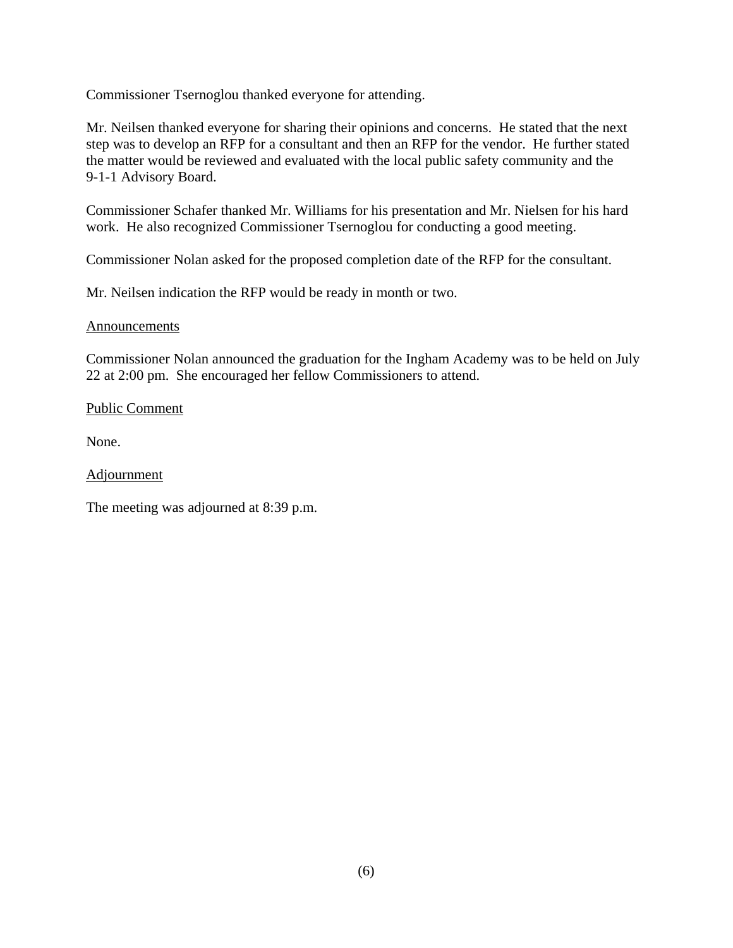Commissioner Tsernoglou thanked everyone for attending.

Mr. Neilsen thanked everyone for sharing their opinions and concerns. He stated that the next step was to develop an RFP for a consultant and then an RFP for the vendor. He further stated the matter would be reviewed and evaluated with the local public safety community and the 9-1-1 Advisory Board.

Commissioner Schafer thanked Mr. Williams for his presentation and Mr. Nielsen for his hard work. He also recognized Commissioner Tsernoglou for conducting a good meeting.

Commissioner Nolan asked for the proposed completion date of the RFP for the consultant.

Mr. Neilsen indication the RFP would be ready in month or two.

#### Announcements

Commissioner Nolan announced the graduation for the Ingham Academy was to be held on July 22 at 2:00 pm. She encouraged her fellow Commissioners to attend.

#### Public Comment

None.

Adjournment

The meeting was adjourned at 8:39 p.m.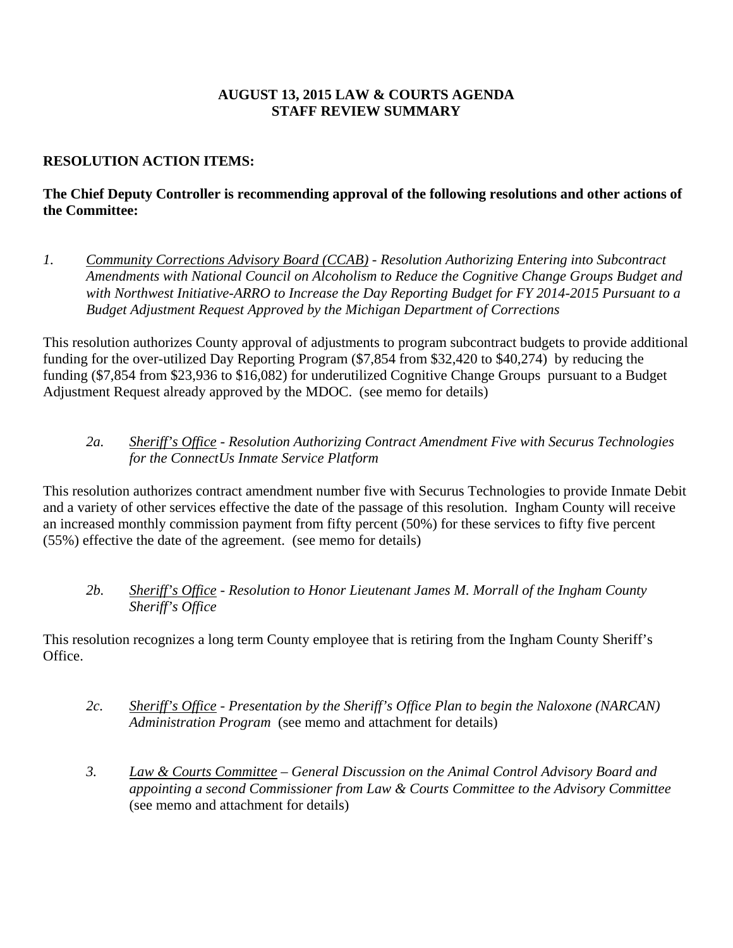# **AUGUST 13, 2015 LAW & COURTS AGENDA STAFF REVIEW SUMMARY**

# **RESOLUTION ACTION ITEMS:**

# **The Chief Deputy Controller is recommending approval of the following resolutions and other actions of the Committee:**

*1. Community Corrections Advisory Board (CCAB) - Resolution Authorizing Entering into Subcontract Amendments with National Council on Alcoholism to Reduce the Cognitive Change Groups Budget and with Northwest Initiative-ARRO to Increase the Day Reporting Budget for FY 2014-2015 Pursuant to a Budget Adjustment Request Approved by the Michigan Department of Corrections* 

This resolution authorizes County approval of adjustments to program subcontract budgets to provide additional funding for the over-utilized Day Reporting Program (\$7,854 from \$32,420 to \$40,274) by reducing the funding (\$7,854 from \$23,936 to \$16,082) for underutilized Cognitive Change Groups pursuant to a Budget Adjustment Request already approved by the MDOC. (see memo for details)

# *2a. Sheriff's Office - Resolution Authorizing Contract Amendment Five with Securus Technologies for the ConnectUs Inmate Service Platform*

This resolution authorizes contract amendment number five with Securus Technologies to provide Inmate Debit and a variety of other services effective the date of the passage of this resolution. Ingham County will receive an increased monthly commission payment from fifty percent (50%) for these services to fifty five percent (55%) effective the date of the agreement. (see memo for details)

*2b. Sheriff's Office - Resolution to Honor Lieutenant James M. Morrall of the Ingham County Sheriff's Office*

This resolution recognizes a long term County employee that is retiring from the Ingham County Sheriff's Office.

- *2c. Sheriff's Office - Presentation by the Sheriff's Office Plan to begin the Naloxone (NARCAN) Administration Program* (see memo and attachment for details)
- *3. Law & Courts Committee – General Discussion on the Animal Control Advisory Board and appointing a second Commissioner from Law & Courts Committee to the Advisory Committee* (see memo and attachment for details)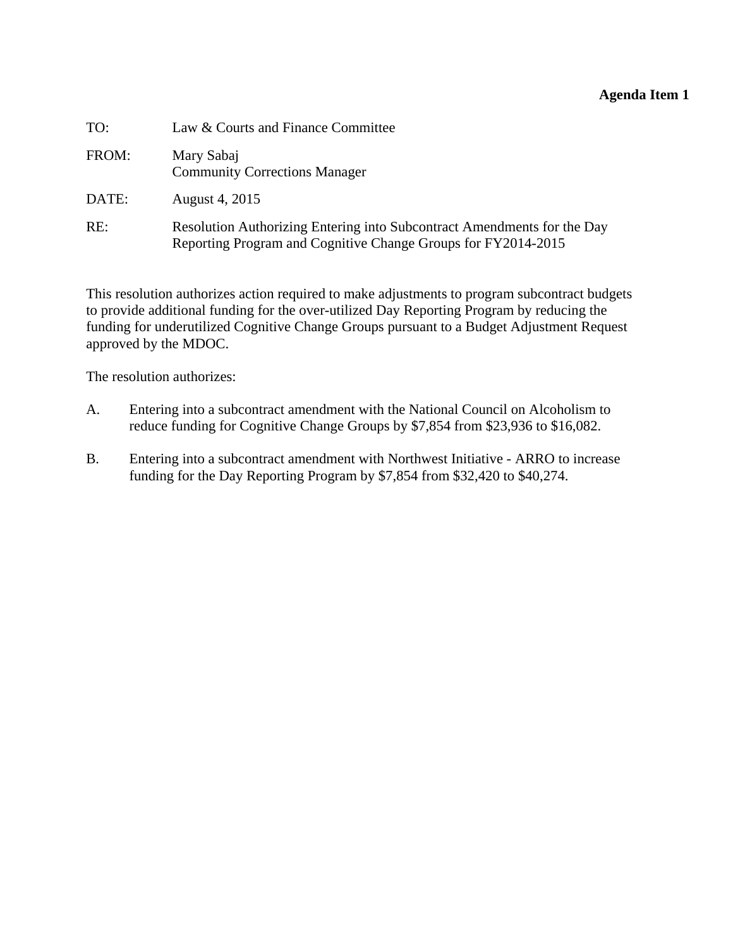#### **Agenda Item 1**

<span id="page-8-0"></span>

| TO:   | Law & Courts and Finance Committee                                                                                                       |
|-------|------------------------------------------------------------------------------------------------------------------------------------------|
| FROM: | Mary Sabaj<br><b>Community Corrections Manager</b>                                                                                       |
| DATE: | August 4, 2015                                                                                                                           |
| RE:   | Resolution Authorizing Entering into Subcontract Amendments for the Day<br>Reporting Program and Cognitive Change Groups for FY2014-2015 |

This resolution authorizes action required to make adjustments to program subcontract budgets to provide additional funding for the over-utilized Day Reporting Program by reducing the funding for underutilized Cognitive Change Groups pursuant to a Budget Adjustment Request approved by the MDOC.

The resolution authorizes:

- A. Entering into a subcontract amendment with the National Council on Alcoholism to reduce funding for Cognitive Change Groups by \$7,854 from \$23,936 to \$16,082.
- B. Entering into a subcontract amendment with Northwest Initiative ARRO to increase funding for the Day Reporting Program by \$7,854 from \$32,420 to \$40,274.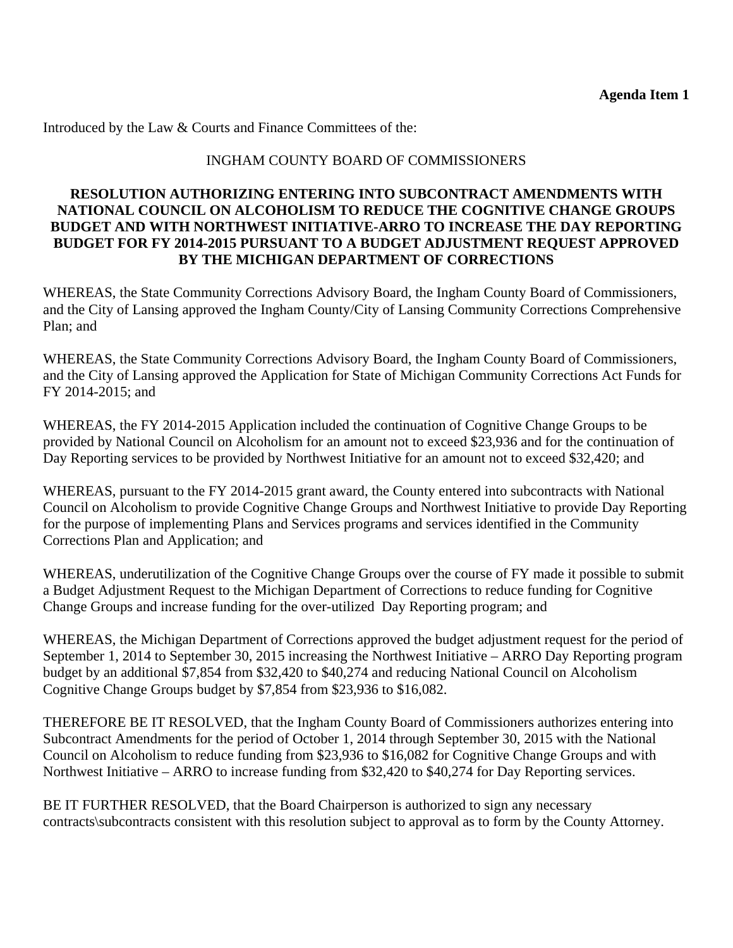Introduced by the Law & Courts and Finance Committees of the:

## INGHAM COUNTY BOARD OF COMMISSIONERS

## **RESOLUTION AUTHORIZING ENTERING INTO SUBCONTRACT AMENDMENTS WITH NATIONAL COUNCIL ON ALCOHOLISM TO REDUCE THE COGNITIVE CHANGE GROUPS BUDGET AND WITH NORTHWEST INITIATIVE-ARRO TO INCREASE THE DAY REPORTING BUDGET FOR FY 2014-2015 PURSUANT TO A BUDGET ADJUSTMENT REQUEST APPROVED BY THE MICHIGAN DEPARTMENT OF CORRECTIONS**

WHEREAS, the State Community Corrections Advisory Board, the Ingham County Board of Commissioners, and the City of Lansing approved the Ingham County/City of Lansing Community Corrections Comprehensive Plan; and

WHEREAS, the State Community Corrections Advisory Board, the Ingham County Board of Commissioners, and the City of Lansing approved the Application for State of Michigan Community Corrections Act Funds for FY 2014-2015; and

WHEREAS, the FY 2014-2015 Application included the continuation of Cognitive Change Groups to be provided by National Council on Alcoholism for an amount not to exceed \$23,936 and for the continuation of Day Reporting services to be provided by Northwest Initiative for an amount not to exceed \$32,420; and

WHEREAS, pursuant to the FY 2014-2015 grant award, the County entered into subcontracts with National Council on Alcoholism to provide Cognitive Change Groups and Northwest Initiative to provide Day Reporting for the purpose of implementing Plans and Services programs and services identified in the Community Corrections Plan and Application; and

WHEREAS, underutilization of the Cognitive Change Groups over the course of FY made it possible to submit a Budget Adjustment Request to the Michigan Department of Corrections to reduce funding for Cognitive Change Groups and increase funding for the over-utilized Day Reporting program; and

WHEREAS, the Michigan Department of Corrections approved the budget adjustment request for the period of September 1, 2014 to September 30, 2015 increasing the Northwest Initiative – ARRO Day Reporting program budget by an additional \$7,854 from \$32,420 to \$40,274 and reducing National Council on Alcoholism Cognitive Change Groups budget by \$7,854 from \$23,936 to \$16,082.

THEREFORE BE IT RESOLVED, that the Ingham County Board of Commissioners authorizes entering into Subcontract Amendments for the period of October 1, 2014 through September 30, 2015 with the National Council on Alcoholism to reduce funding from \$23,936 to \$16,082 for Cognitive Change Groups and with Northwest Initiative – ARRO to increase funding from \$32,420 to \$40,274 for Day Reporting services.

BE IT FURTHER RESOLVED, that the Board Chairperson is authorized to sign any necessary contracts\subcontracts consistent with this resolution subject to approval as to form by the County Attorney.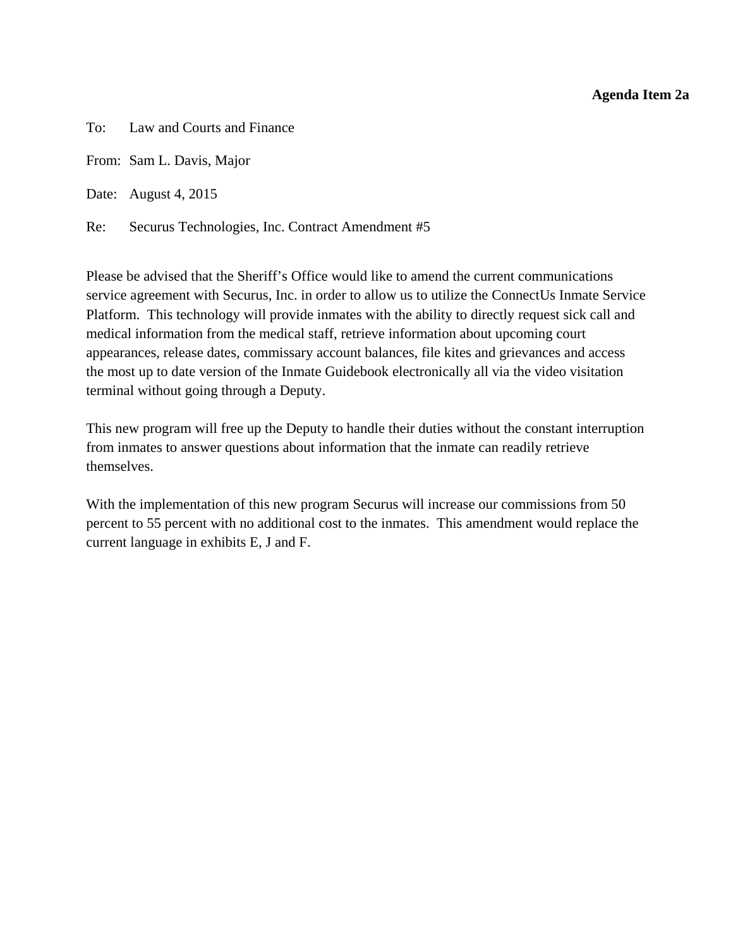#### **Agenda Item 2a**

<span id="page-10-0"></span>To: Law and Courts and Finance

From: Sam L. Davis, Major

Date: August 4, 2015

Re: Securus Technologies, Inc. Contract Amendment #5

Please be advised that the Sheriff's Office would like to amend the current communications service agreement with Securus, Inc. in order to allow us to utilize the ConnectUs Inmate Service Platform. This technology will provide inmates with the ability to directly request sick call and medical information from the medical staff, retrieve information about upcoming court appearances, release dates, commissary account balances, file kites and grievances and access the most up to date version of the Inmate Guidebook electronically all via the video visitation terminal without going through a Deputy.

This new program will free up the Deputy to handle their duties without the constant interruption from inmates to answer questions about information that the inmate can readily retrieve themselves.

With the implementation of this new program Securus will increase our commissions from 50 percent to 55 percent with no additional cost to the inmates. This amendment would replace the current language in exhibits E, J and F.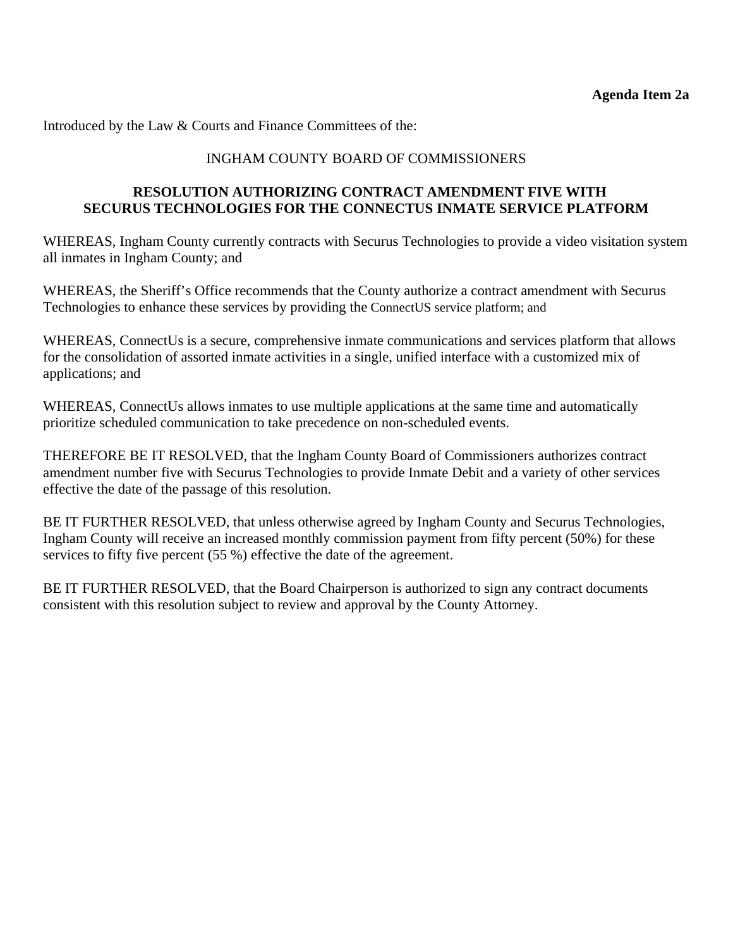Introduced by the Law & Courts and Finance Committees of the:

#### INGHAM COUNTY BOARD OF COMMISSIONERS

## **RESOLUTION AUTHORIZING CONTRACT AMENDMENT FIVE WITH SECURUS TECHNOLOGIES FOR THE CONNECTUS INMATE SERVICE PLATFORM**

WHEREAS, Ingham County currently contracts with Securus Technologies to provide a video visitation system all inmates in Ingham County; and

WHEREAS, the Sheriff's Office recommends that the County authorize a contract amendment with Securus Technologies to enhance these services by providing the ConnectUS service platform; and

WHEREAS, ConnectUs is a secure, comprehensive inmate communications and services platform that allows for the consolidation of assorted inmate activities in a single, unified interface with a customized mix of applications; and

WHEREAS, ConnectUs allows inmates to use multiple applications at the same time and automatically prioritize scheduled communication to take precedence on non-scheduled events.

THEREFORE BE IT RESOLVED, that the Ingham County Board of Commissioners authorizes contract amendment number five with Securus Technologies to provide Inmate Debit and a variety of other services effective the date of the passage of this resolution.

BE IT FURTHER RESOLVED, that unless otherwise agreed by Ingham County and Securus Technologies, Ingham County will receive an increased monthly commission payment from fifty percent (50%) for these services to fifty five percent (55 %) effective the date of the agreement.

BE IT FURTHER RESOLVED, that the Board Chairperson is authorized to sign any contract documents consistent with this resolution subject to review and approval by the County Attorney.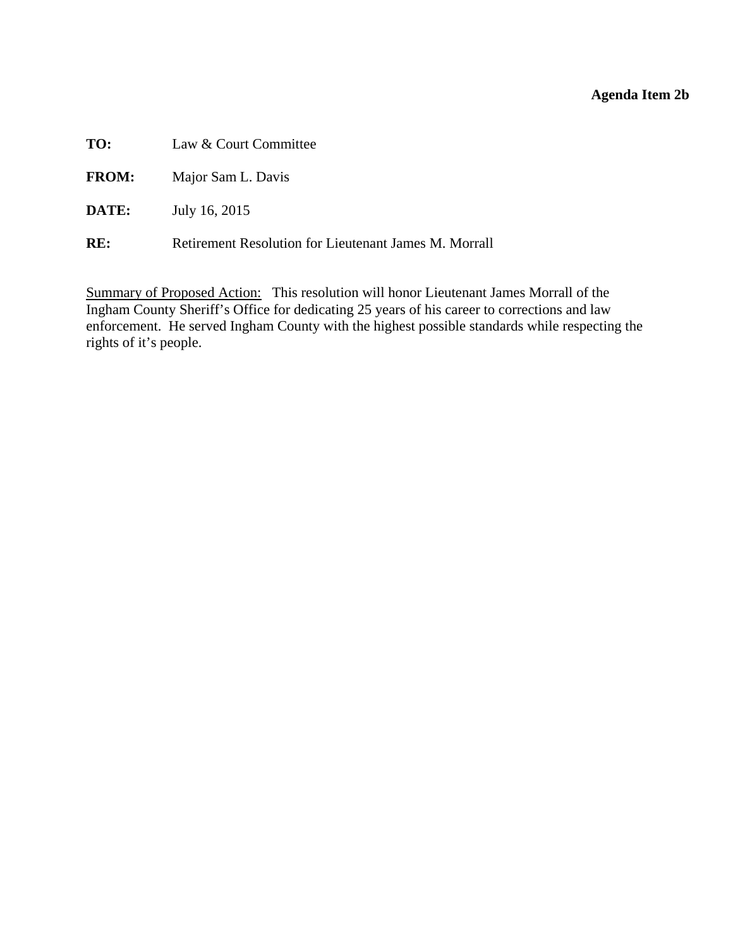# **Agenda Item 2b**

<span id="page-12-0"></span>**TO:** Law & Court Committee

**FROM:** Major Sam L. Davis

**DATE:** July 16, 2015

**RE:** Retirement Resolution for Lieutenant James M. Morrall

Summary of Proposed Action: This resolution will honor Lieutenant James Morrall of the Ingham County Sheriff's Office for dedicating 25 years of his career to corrections and law enforcement. He served Ingham County with the highest possible standards while respecting the rights of it's people.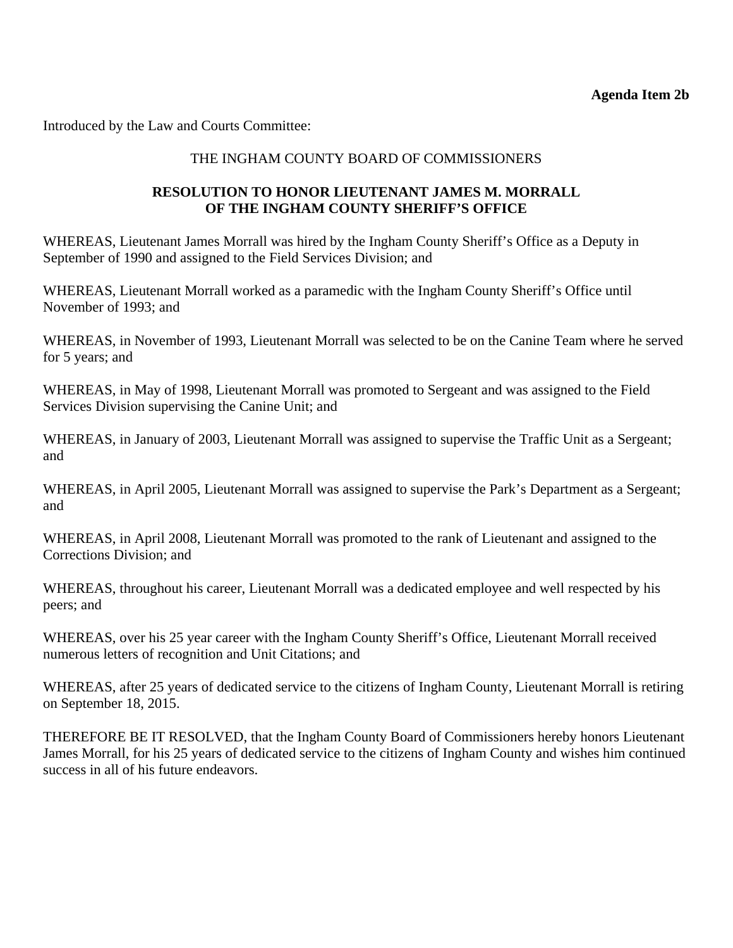Introduced by the Law and Courts Committee:

## THE INGHAM COUNTY BOARD OF COMMISSIONERS

## **RESOLUTION TO HONOR LIEUTENANT JAMES M. MORRALL OF THE INGHAM COUNTY SHERIFF'S OFFICE**

WHEREAS, Lieutenant James Morrall was hired by the Ingham County Sheriff's Office as a Deputy in September of 1990 and assigned to the Field Services Division; and

WHEREAS, Lieutenant Morrall worked as a paramedic with the Ingham County Sheriff's Office until November of 1993; and

WHEREAS, in November of 1993, Lieutenant Morrall was selected to be on the Canine Team where he served for 5 years; and

WHEREAS, in May of 1998, Lieutenant Morrall was promoted to Sergeant and was assigned to the Field Services Division supervising the Canine Unit; and

WHEREAS, in January of 2003, Lieutenant Morrall was assigned to supervise the Traffic Unit as a Sergeant; and

WHEREAS, in April 2005, Lieutenant Morrall was assigned to supervise the Park's Department as a Sergeant; and

WHEREAS, in April 2008, Lieutenant Morrall was promoted to the rank of Lieutenant and assigned to the Corrections Division; and

WHEREAS, throughout his career, Lieutenant Morrall was a dedicated employee and well respected by his peers; and

WHEREAS, over his 25 year career with the Ingham County Sheriff's Office, Lieutenant Morrall received numerous letters of recognition and Unit Citations; and

WHEREAS, after 25 years of dedicated service to the citizens of Ingham County, Lieutenant Morrall is retiring on September 18, 2015.

THEREFORE BE IT RESOLVED, that the Ingham County Board of Commissioners hereby honors Lieutenant James Morrall, for his 25 years of dedicated service to the citizens of Ingham County and wishes him continued success in all of his future endeavors.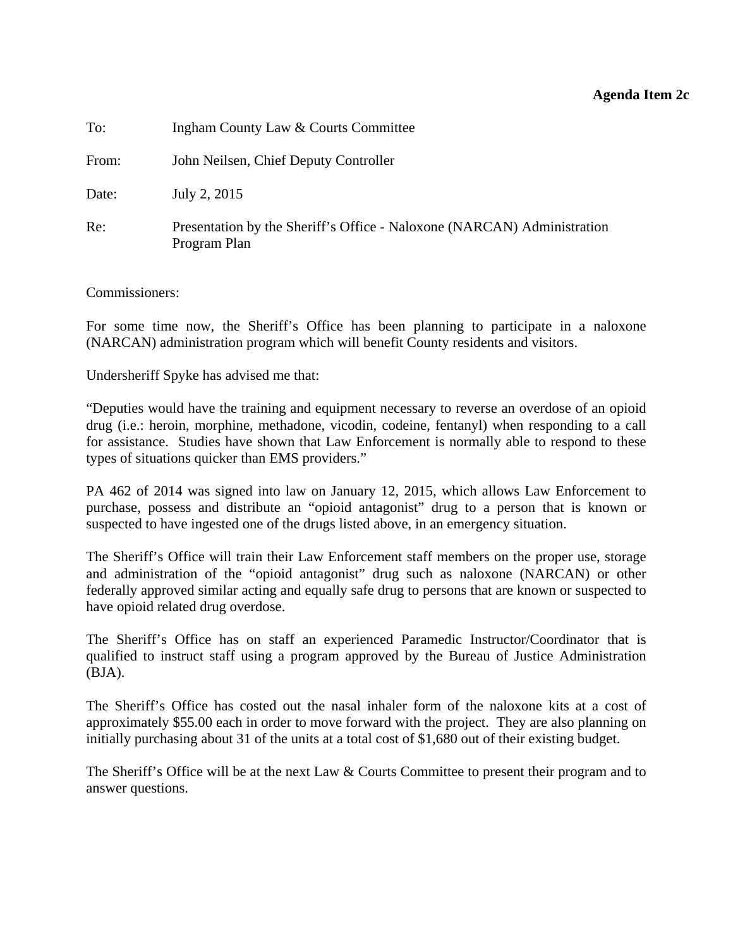#### **Agenda Item 2c**

<span id="page-14-0"></span>

| To:   | Ingham County Law & Courts Committee                                                    |
|-------|-----------------------------------------------------------------------------------------|
| From: | John Neilsen, Chief Deputy Controller                                                   |
| Date: | July 2, 2015                                                                            |
| Re:   | Presentation by the Sheriff's Office - Naloxone (NARCAN) Administration<br>Program Plan |

Commissioners:

For some time now, the Sheriff's Office has been planning to participate in a naloxone (NARCAN) administration program which will benefit County residents and visitors.

Undersheriff Spyke has advised me that:

"Deputies would have the training and equipment necessary to reverse an overdose of an opioid drug (i.e.: heroin, morphine, methadone, vicodin, codeine, fentanyl) when responding to a call for assistance. Studies have shown that Law Enforcement is normally able to respond to these types of situations quicker than EMS providers."

PA 462 of 2014 was signed into law on January 12, 2015, which allows Law Enforcement to purchase, possess and distribute an "opioid antagonist" drug to a person that is known or suspected to have ingested one of the drugs listed above, in an emergency situation.

The Sheriff's Office will train their Law Enforcement staff members on the proper use, storage and administration of the "opioid antagonist" drug such as naloxone (NARCAN) or other federally approved similar acting and equally safe drug to persons that are known or suspected to have opioid related drug overdose.

The Sheriff's Office has on staff an experienced Paramedic Instructor/Coordinator that is qualified to instruct staff using a program approved by the Bureau of Justice Administration (BJA).

The Sheriff's Office has costed out the nasal inhaler form of the naloxone kits at a cost of approximately \$55.00 each in order to move forward with the project. They are also planning on initially purchasing about 31 of the units at a total cost of \$1,680 out of their existing budget.

The Sheriff's Office will be at the next Law & Courts Committee to present their program and to answer questions.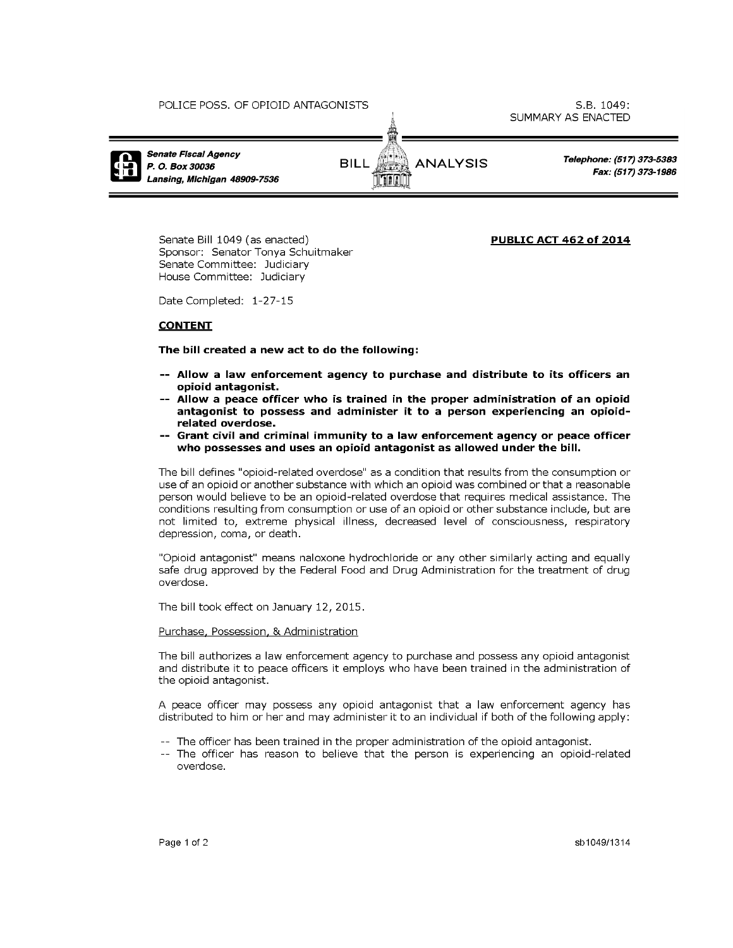

Senate Bill 1049 (as enacted) Sponsor: Senator Tonya Schuitmaker Senate Committee: Judiciary House Committee: Judiciary

**PUBLIC ACT 462 of 2014** 

Date Completed: 1-27-15

#### **CONTENT**

The bill created a new act to do the following:

- -- Allow a law enforcement agency to purchase and distribute to its officers an opioid antagonist.
- -- Allow a peace officer who is trained in the proper administration of an opioid antagonist to possess and administer it to a person experiencing an opioidrelated overdose.
- -- Grant civil and criminal immunity to a law enforcement agency or peace officer who possesses and uses an opioid antagonist as allowed under the bill.

The bill defines "opioid-related overdose" as a condition that results from the consumption or use of an opioid or another substance with which an opioid was combined or that a reasonable person would believe to be an opioid-related overdose that requires medical assistance. The conditions resulting from consumption or use of an opioid or other substance include, but are not limited to, extreme physical illness, decreased level of consciousness, respiratory depression, coma, or death.

"Opioid antagonist" means naloxone hydrochloride or any other similarly acting and equally safe drug approved by the Federal Food and Drug Administration for the treatment of drug overdose.

The bill took effect on January 12, 2015.

#### Purchase, Possession, & Administration

The bill authorizes a law enforcement agency to purchase and possess any opioid antagonist and distribute it to peace officers it employs who have been trained in the administration of the opioid antagonist.

A peace officer may possess any opioid antagonist that a law enforcement agency has distributed to him or her and may administer it to an individual if both of the following apply:

- -- The officer has been trained in the proper administration of the opioid antagonist.
- -- The officer has reason to believe that the person is experiencing an opioid-related overdose.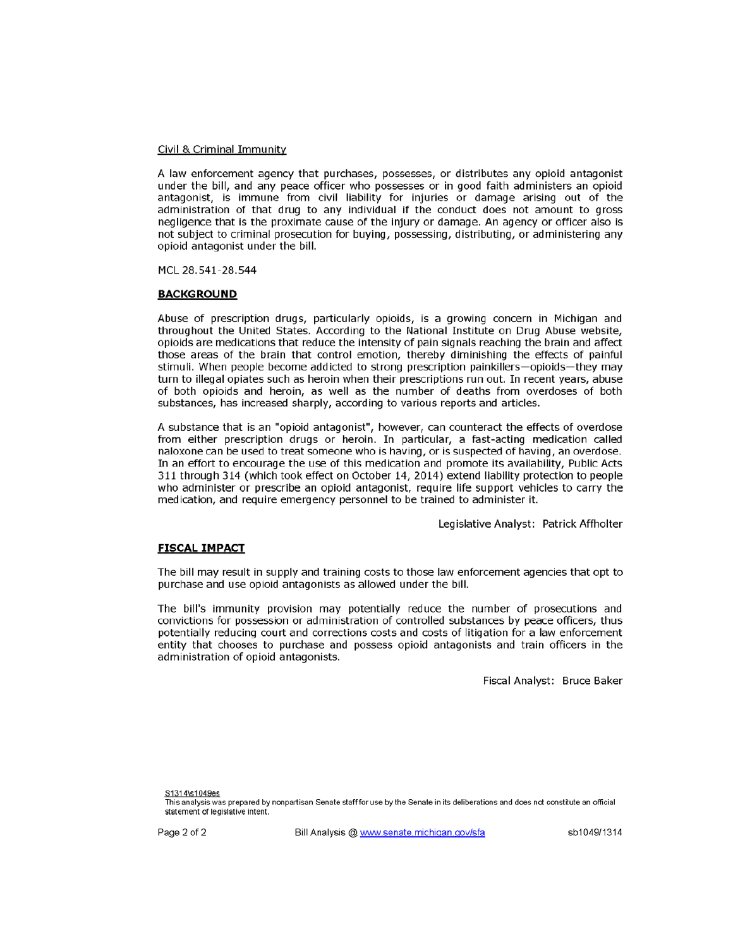#### Civil & Criminal Immunity

A law enforcement agency that purchases, possesses, or distributes any opioid antagonist under the bill, and any peace officer who possesses or in good faith administers an opioid antagonist, is immune from civil liability for injuries or damage arising out of the administration of that drug to any individual if the conduct does not amount to gross negligence that is the proximate cause of the injury or damage. An agency or officer also is not subject to criminal prosecution for buying, possessing, distributing, or administering any opioid antagonist under the bill.

MCL 28.541-28.544

#### **BACKGROUND**

Abuse of prescription drugs, particularly opioids, is a growing concern in Michigan and throughout the United States. According to the National Institute on Drug Abuse website, opioids are medications that reduce the intensity of pain signals reaching the brain and affect those areas of the brain that control emotion, thereby diminishing the effects of painful stimuli. When people become addicted to strong prescription painkillers-opioids-they may turn to illegal opiates such as heroin when their prescriptions run out. In recent years, abuse of both opioids and heroin, as well as the number of deaths from overdoses of both substances, has increased sharply, according to various reports and articles.

A substance that is an "opioid antagonist", however, can counteract the effects of overdose from either prescription drugs or heroin. In particular, a fast-acting medication called naloxone can be used to treat someone who is having, or is suspected of having, an overdose. In an effort to encourage the use of this medication and promote its availability, Public Acts 311 through 314 (which took effect on October 14, 2014) extend liability protection to people who administer or prescribe an opioid antagonist, require life support vehicles to carry the medication, and require emergency personnel to be trained to administer it.

Legislative Analyst: Patrick Affholter

#### **FISCAL IMPACT**

The bill may result in supply and training costs to those law enforcement agencies that opt to purchase and use opioid antagonists as allowed under the bill.

The bill's immunity provision may potentially reduce the number of prosecutions and convictions for possession or administration of controlled substances by peace officers, thus potentially reducing court and corrections costs and costs of litigation for a law enforcement entity that chooses to purchase and possess opioid antagonists and train officers in the administration of opioid antagonists.

Fiscal Analyst: Bruce Baker

S1314\s1049es

Page 2 of 2

Bill Analysis @ www.senate.michigan.gov/sfa

This analysis was prepared by nonpartisan Senate staff for use by the Senate in its deliberations and does not constitute an official statement of legislative intent.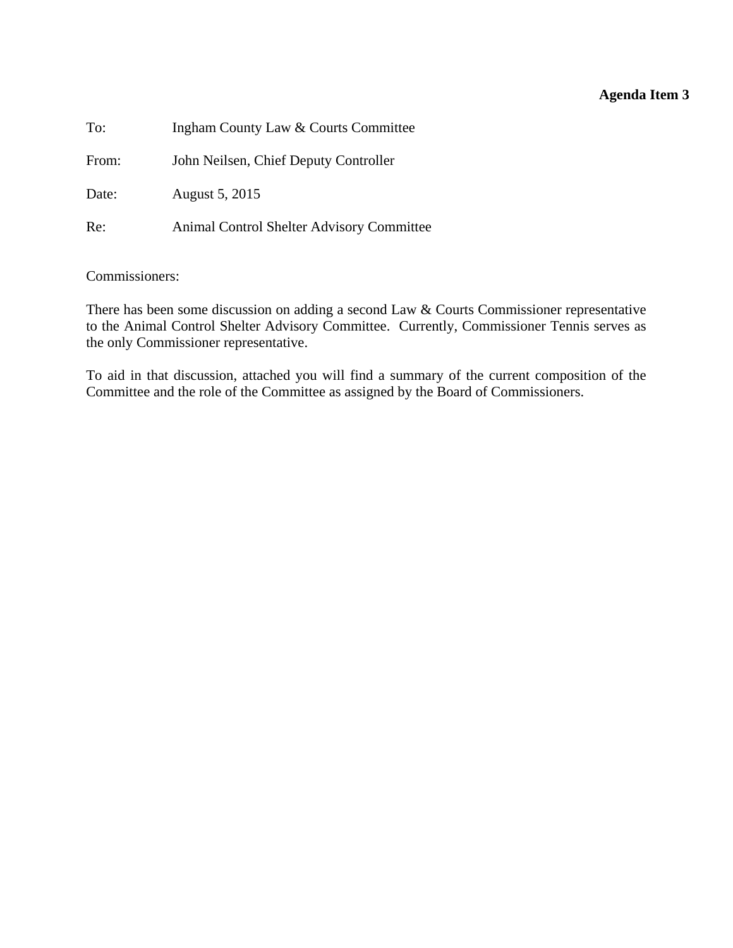# **Agenda Item 3**

<span id="page-17-0"></span>

| To:   | Ingham County Law & Courts Committee      |
|-------|-------------------------------------------|
| From: | John Neilsen, Chief Deputy Controller     |
| Date: | August 5, 2015                            |
| Re:   | Animal Control Shelter Advisory Committee |

Commissioners:

There has been some discussion on adding a second Law & Courts Commissioner representative to the Animal Control Shelter Advisory Committee. Currently, Commissioner Tennis serves as the only Commissioner representative.

To aid in that discussion, attached you will find a summary of the current composition of the Committee and the role of the Committee as assigned by the Board of Commissioners.